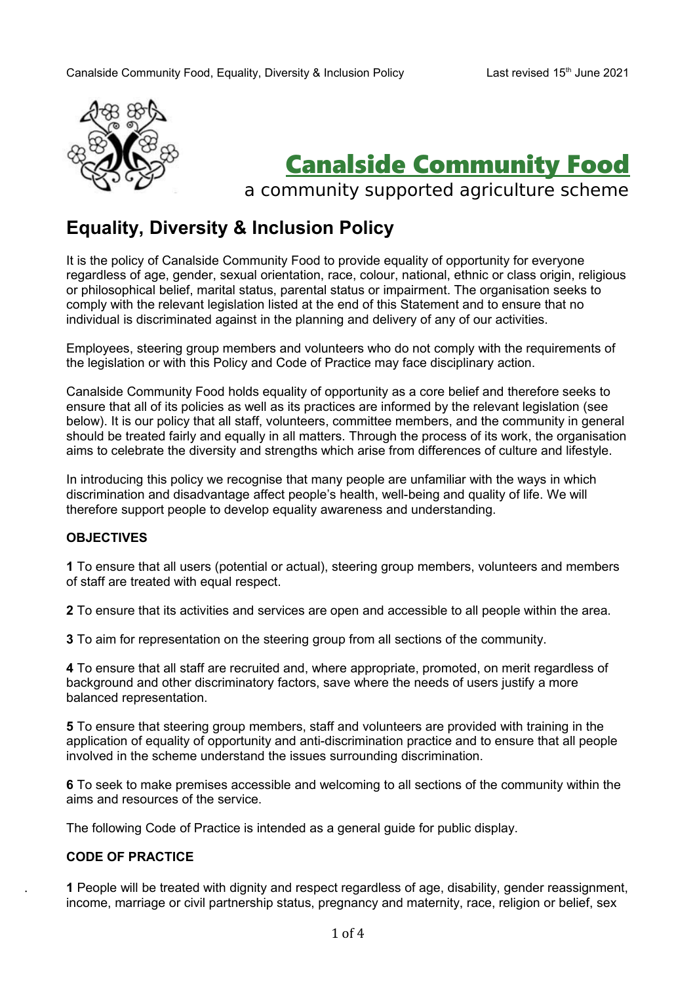

# Canalside Community Food

a community supported agriculture scheme

# **Equality, Diversity & Inclusion Policy**

It is the policy of Canalside Community Food to provide equality of opportunity for everyone regardless of age, gender, sexual orientation, race, colour, national, ethnic or class origin, religious or philosophical belief, marital status, parental status or impairment. The organisation seeks to comply with the relevant legislation listed at the end of this Statement and to ensure that no individual is discriminated against in the planning and delivery of any of our activities.

Employees, steering group members and volunteers who do not comply with the requirements of the legislation or with this Policy and Code of Practice may face disciplinary action.

Canalside Community Food holds equality of opportunity as a core belief and therefore seeks to ensure that all of its policies as well as its practices are informed by the relevant legislation (see below). It is our policy that all staff, volunteers, committee members, and the community in general should be treated fairly and equally in all matters. Through the process of its work, the organisation aims to celebrate the diversity and strengths which arise from differences of culture and lifestyle.

In introducing this policy we recognise that many people are unfamiliar with the ways in which discrimination and disadvantage affect people's health, well-being and quality of life. We will therefore support people to develop equality awareness and understanding.

## **OBJECTIVES**

**1** To ensure that all users (potential or actual), steering group members, volunteers and members of staff are treated with equal respect.

**2** To ensure that its activities and services are open and accessible to all people within the area.

**3** To aim for representation on the steering group from all sections of the community.

**4** To ensure that all staff are recruited and, where appropriate, promoted, on merit regardless of background and other discriminatory factors, save where the needs of users justify a more balanced representation.

**5** To ensure that steering group members, staff and volunteers are provided with training in the application of equality of opportunity and anti-discrimination practice and to ensure that all people involved in the scheme understand the issues surrounding discrimination.

**6** To seek to make premises accessible and welcoming to all sections of the community within the aims and resources of the service.

The following Code of Practice is intended as a general guide for public display.

## **CODE OF PRACTICE**

 **1** People will be treated with dignity and respect regardless of age, disability, gender reassignment, income, marriage or civil partnership status, pregnancy and maternity, race, religion or belief, sex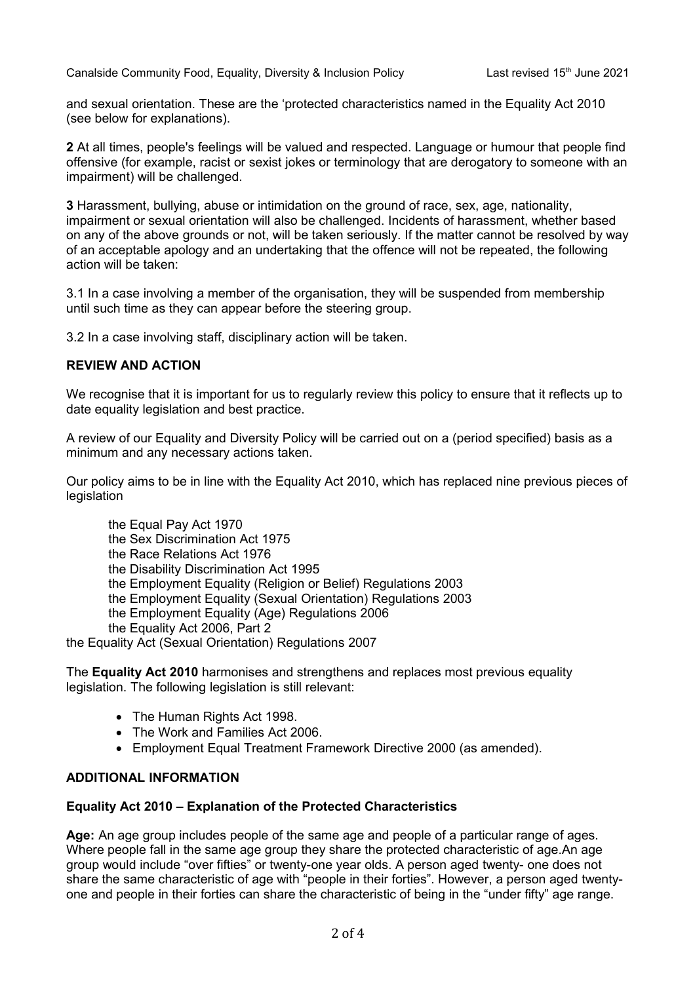and sexual orientation. These are the 'protected characteristics named in the Equality Act 2010 (see below for explanations).

**2** At all times, people's feelings will be valued and respected. Language or humour that people find offensive (for example, racist or sexist jokes or terminology that are derogatory to someone with an impairment) will be challenged.

**3** Harassment, bullying, abuse or intimidation on the ground of race, sex, age, nationality, impairment or sexual orientation will also be challenged. Incidents of harassment, whether based on any of the above grounds or not, will be taken seriously. If the matter cannot be resolved by way of an acceptable apology and an undertaking that the offence will not be repeated, the following action will be taken:

3.1 In a case involving a member of the organisation, they will be suspended from membership until such time as they can appear before the steering group.

3.2 In a case involving staff, disciplinary action will be taken.

#### **REVIEW AND ACTION**

We recognise that it is important for us to regularly review this policy to ensure that it reflects up to date equality legislation and best practice.

A review of our Equality and Diversity Policy will be carried out on a (period specified) basis as a minimum and any necessary actions taken.

Our policy aims to be in line with the Equality Act 2010, which has replaced nine previous pieces of legislation

the Equal Pay Act 1970 the Sex Discrimination Act 1975 the Race Relations Act 1976 the Disability Discrimination Act 1995 the Employment Equality (Religion or Belief) Regulations 2003 the Employment Equality (Sexual Orientation) Regulations 2003 the Employment Equality (Age) Regulations 2006 the Equality Act 2006, Part 2 the Equality Act (Sexual Orientation) Regulations 2007

The **Equality Act 2010** harmonises and strengthens and replaces most previous equality legislation. The following legislation is still relevant:

- The Human Rights Act 1998.
- The Work and Families Act 2006.
- Employment Equal Treatment Framework Directive 2000 (as amended).

#### **ADDITIONAL INFORMATION**

## **Equality Act 2010 – Explanation of the Protected Characteristics**

**Age:** An age group includes people of the same age and people of a particular range of ages. Where people fall in the same age group they share the protected characteristic of age.An age group would include "over fifties" or twenty-one year olds. A person aged twenty- one does not share the same characteristic of age with "people in their forties". However, a person aged twentyone and people in their forties can share the characteristic of being in the "under fifty" age range.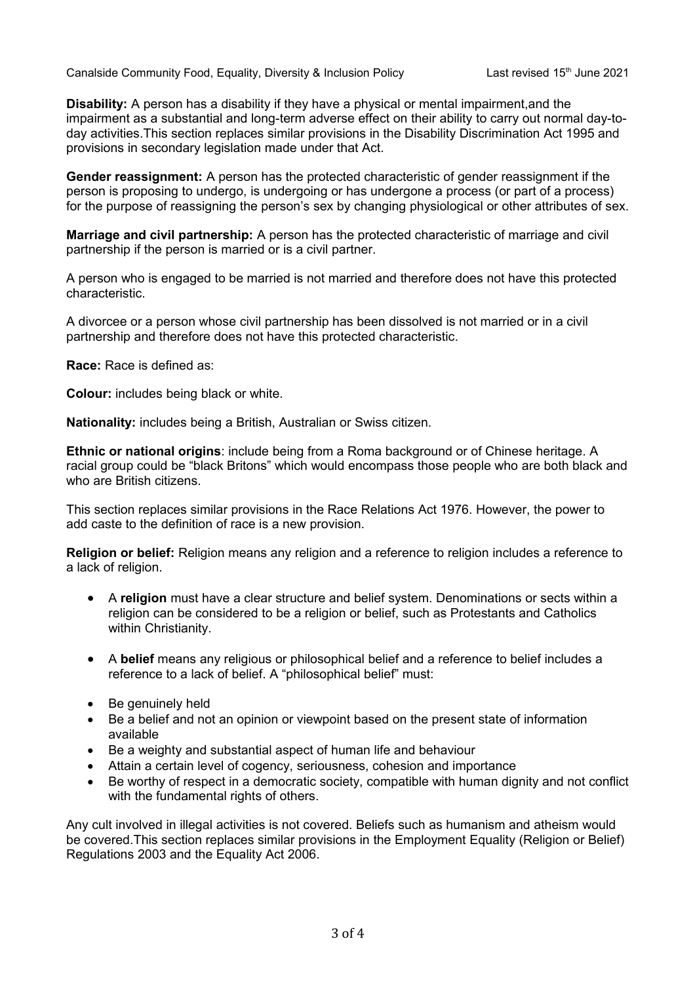Canalside Community Food, Equality, Diversity & Inclusion Policy Last revised 15<sup>th</sup> June 2021

**Disability:** A person has a disability if they have a physical or mental impairment,and the impairment as a substantial and long-term adverse effect on their ability to carry out normal day-today activities.This section replaces similar provisions in the Disability Discrimination Act 1995 and provisions in secondary legislation made under that Act.

**Gender reassignment:** A person has the protected characteristic of gender reassignment if the person is proposing to undergo, is undergoing or has undergone a process (or part of a process) for the purpose of reassigning the person's sex by changing physiological or other attributes of sex.

**Marriage and civil partnership:** A person has the protected characteristic of marriage and civil partnership if the person is married or is a civil partner.

A person who is engaged to be married is not married and therefore does not have this protected characteristic.

A divorcee or a person whose civil partnership has been dissolved is not married or in a civil partnership and therefore does not have this protected characteristic.

**Race:** Race is defined as:

**Colour:** includes being black or white.

**Nationality:** includes being a British, Australian or Swiss citizen.

**Ethnic or national origins**: include being from a Roma background or of Chinese heritage. A racial group could be "black Britons" which would encompass those people who are both black and who are British citizens.

This section replaces similar provisions in the Race Relations Act 1976. However, the power to add caste to the definition of race is a new provision.

**Religion or belief:** Religion means any religion and a reference to religion includes a reference to a lack of religion.

- A **religion** must have a clear structure and belief system. Denominations or sects within a religion can be considered to be a religion or belief, such as Protestants and Catholics within Christianity.
- A **belief** means any religious or philosophical belief and a reference to belief includes a reference to a lack of belief. A "philosophical belief" must:
- Be genuinely held
- Be a belief and not an opinion or viewpoint based on the present state of information available
- Be a weighty and substantial aspect of human life and behaviour
- Attain a certain level of cogency, seriousness, cohesion and importance
- Be worthy of respect in a democratic society, compatible with human dignity and not conflict with the fundamental rights of others.

Any cult involved in illegal activities is not covered. Beliefs such as humanism and atheism would be covered.This section replaces similar provisions in the Employment Equality (Religion or Belief) Regulations 2003 and the Equality Act 2006.